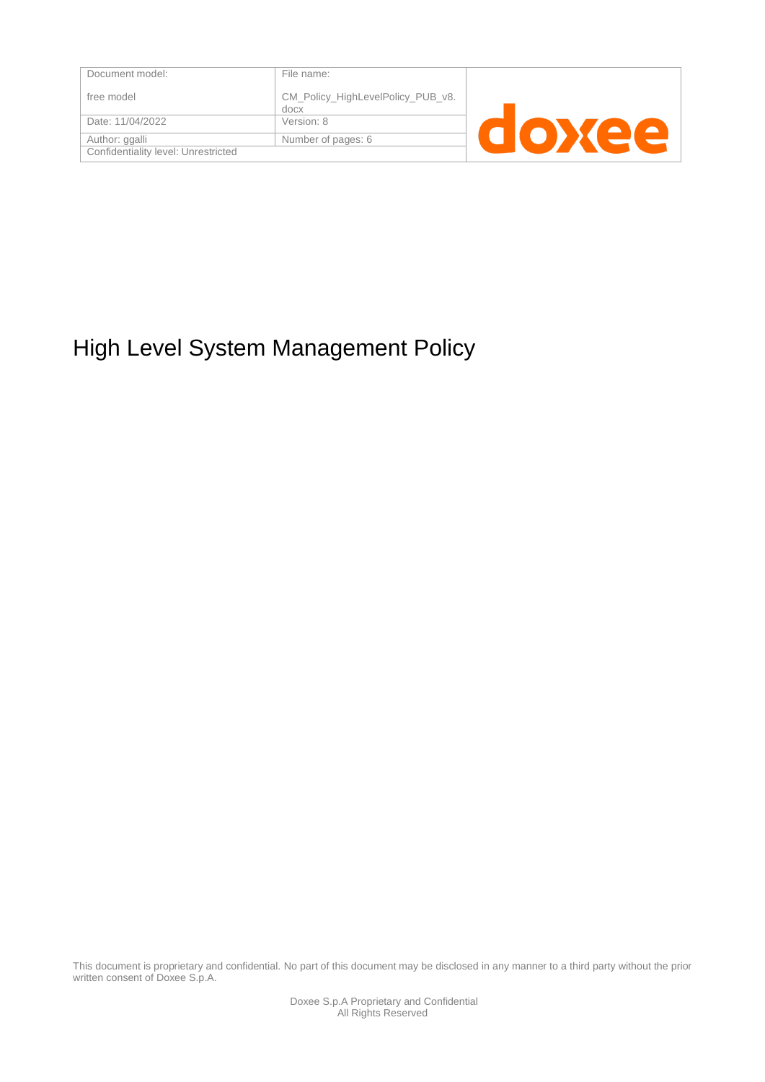| Document model:                     | File name:                                |  |
|-------------------------------------|-------------------------------------------|--|
| free model                          | CM_Policy_HighLevelPolicy_PUB_v8.<br>docx |  |
| Date: 11/04/2022                    | Version: 8                                |  |
| Author: ggalli                      | Number of pages: 6                        |  |
| Confidentiality level: Unrestricted |                                           |  |

# High Level System Management Policy

This document is proprietary and confidential. No part of this document may be disclosed in any manner to a third party without the prior written consent of Doxee S.p.A.

> Doxee S.p.A Proprietary and Confidential All Rights Reserved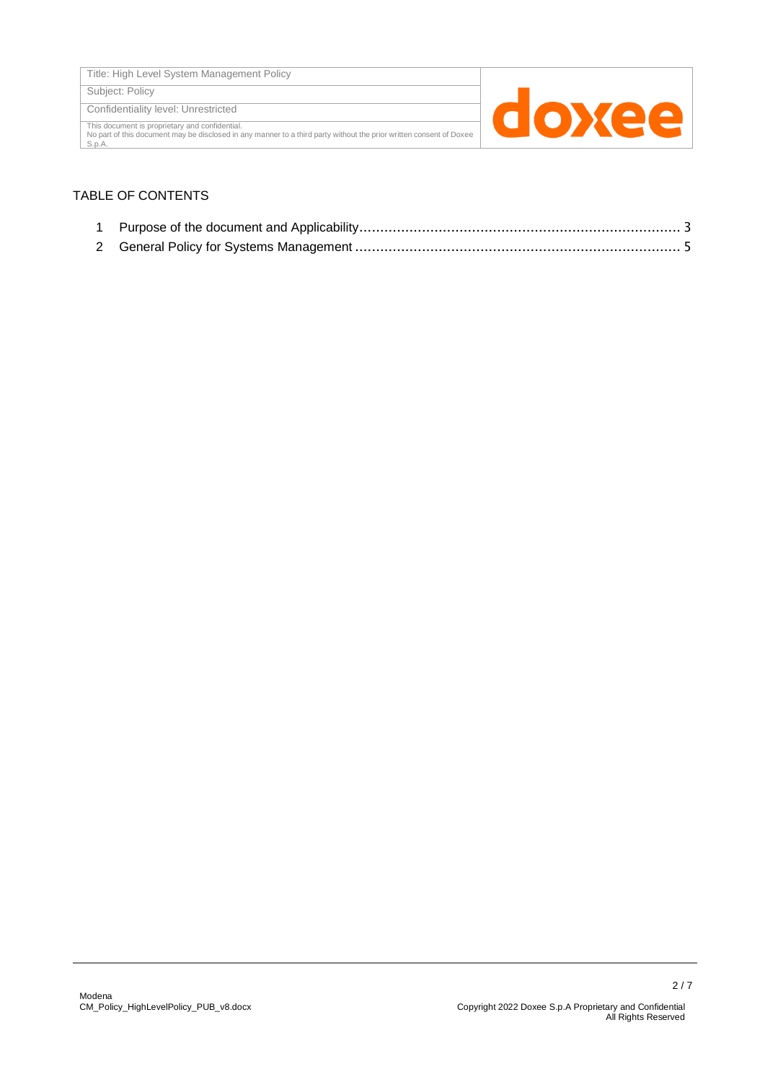Subject: Policy

Confidentiality level: Unrestricted

This document is proprietary and confidential. No part of this document may be disclosed in any manner to a third party without the prior written consent of Doxee S.p.A.



#### TABLE OF CONTENTS

- 1 Purpose of the document and Applicability[.............................................................................](#page-2-0) [3](#page-2-0)
- 2 General Policy for Systems Management [..............................................................................](#page-4-0) [5](#page-4-0)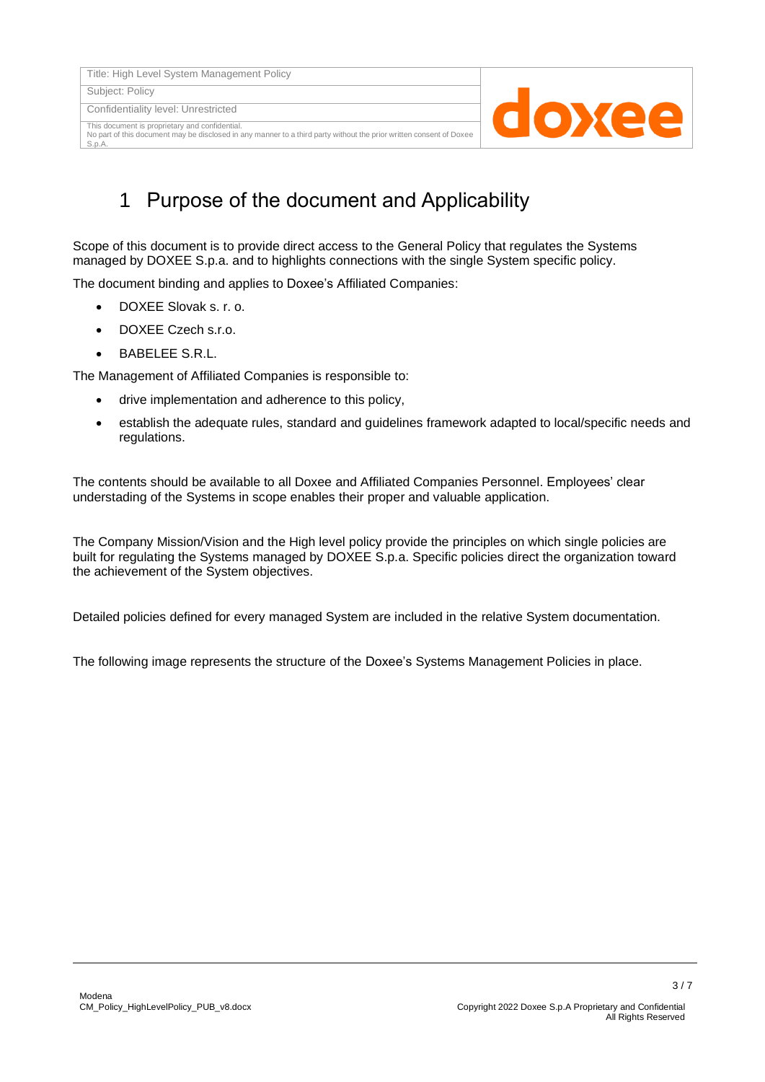Title: High Level System Management Policy

Subject: Policy

Confidentiality level: Unrestricted

This document is proprietary and confidential. No part of this document may be disclosed in any manner to a third party without the prior written consent of Doxee S.p.A.



### 1 Purpose of the document and Applicability

<span id="page-2-0"></span>Scope of this document is to provide direct access to the General Policy that regulates the Systems managed by DOXEE S.p.a. and to highlights connections with the single System specific policy.

The document binding and applies to Doxee's Affiliated Companies:

- DOXEE Slovak s. r. o.
- DOXEE Czech s.r.o.
- BABELEE S.R.L.

The Management of Affiliated Companies is responsible to:

- drive implementation and adherence to this policy,
- establish the adequate rules, standard and guidelines framework adapted to local/specific needs and regulations.

The contents should be available to all Doxee and Affiliated Companies Personnel. Employees' clear understading of the Systems in scope enables their proper and valuable application.

The Company Mission/Vision and the High level policy provide the principles on which single policies are built for regulating the Systems managed by DOXEE S.p.a. Specific policies direct the organization toward the achievement of the System objectives.

Detailed policies defined for every managed System are included in the relative System documentation.

The following image represents the structure of the Doxee's Systems Management Policies in place.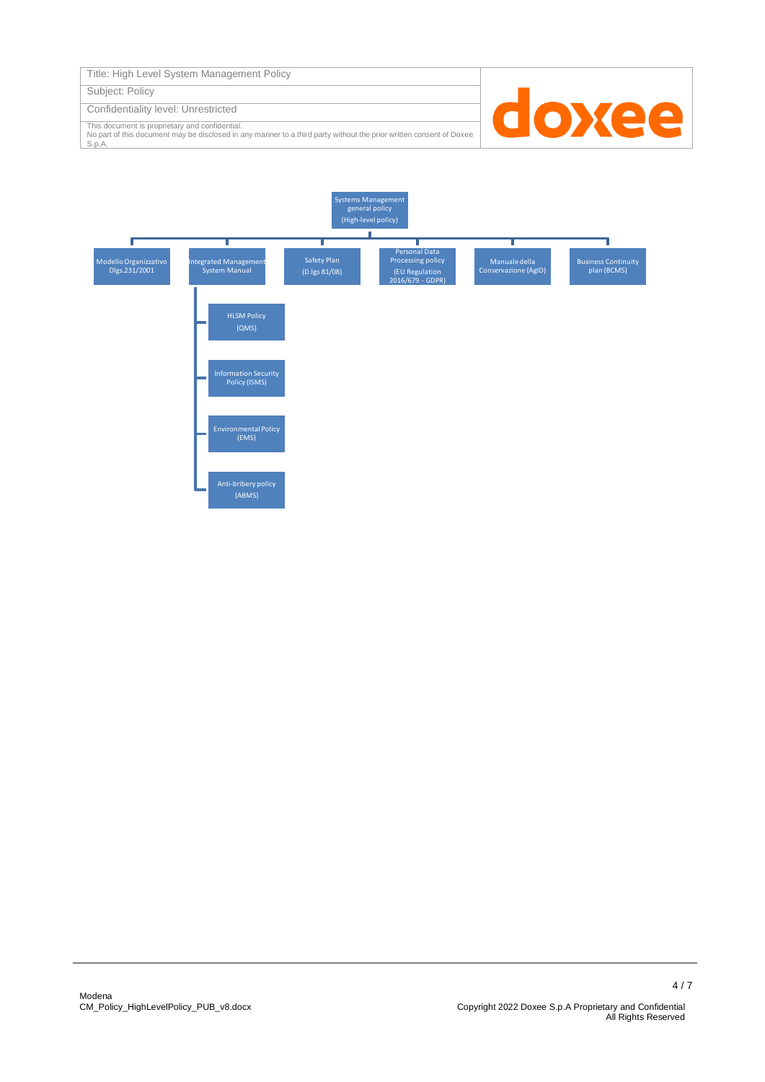| Title: High Level System Management Policy |  |  |  |
|--------------------------------------------|--|--|--|
|--------------------------------------------|--|--|--|

Subject: Policy

Confidentiality level: Unrestricted

This document is proprietary and confidential. No part of this document may be disclosed in any manner to a third party without the prior written consent of Doxee S.p.A.



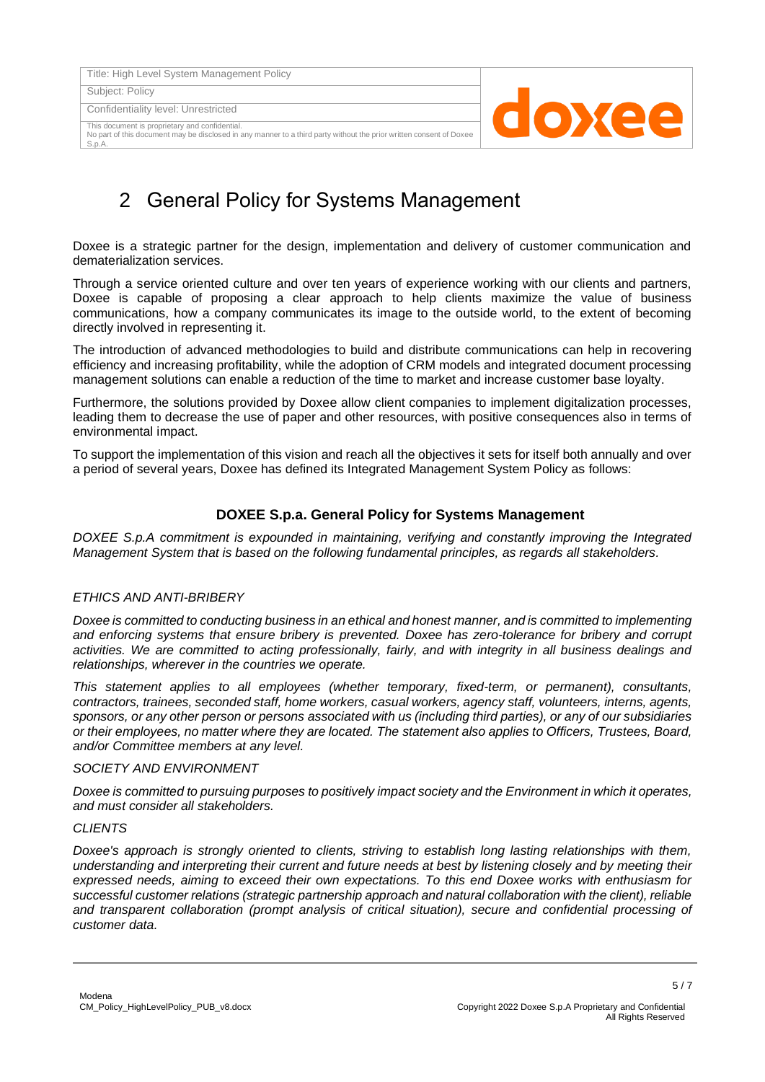Title: High Level System Management Policy

Subject: Policy

Confidentiality level: Unrestricted

This document is proprietary and confidential. No part of this document may be disclosed in any manner to a third party without the prior written consent of Doxee S.p.A.



## <span id="page-4-0"></span>2 General Policy for Systems Management

Doxee is a strategic partner for the design, implementation and delivery of customer communication and dematerialization services.

Through a service oriented culture and over ten years of experience working with our clients and partners, Doxee is capable of proposing a clear approach to help clients maximize the value of business communications, how a company communicates its image to the outside world, to the extent of becoming directly involved in representing it.

The introduction of advanced methodologies to build and distribute communications can help in recovering efficiency and increasing profitability, while the adoption of CRM models and integrated document processing management solutions can enable a reduction of the time to market and increase customer base loyalty.

Furthermore, the solutions provided by Doxee allow client companies to implement digitalization processes, leading them to decrease the use of paper and other resources, with positive consequences also in terms of environmental impact.

To support the implementation of this vision and reach all the objectives it sets for itself both annually and over a period of several years, Doxee has defined its Integrated Management System Policy as follows:

#### **DOXEE S.p.a. General Policy for Systems Management**

*DOXEE S.p.A commitment is expounded in maintaining, verifying and constantly improving the Integrated Management System that is based on the following fundamental principles, as regards all stakeholders.*

#### *ETHICS AND ANTI-BRIBERY*

*Doxee is committed to conducting business in an ethical and honest manner, and is committed to implementing and enforcing systems that ensure bribery is prevented. Doxee has zero-tolerance for bribery and corrupt activities. We are committed to acting professionally, fairly, and with integrity in all business dealings and relationships, wherever in the countries we operate.*

*This statement applies to all employees (whether temporary, fixed-term, or permanent), consultants, contractors, trainees, seconded staff, home workers, casual workers, agency staff, volunteers, interns, agents, sponsors, or any other person or persons associated with us (including third parties), or any of our subsidiaries or their employees, no matter where they are located. The statement also applies to Officers, Trustees, Board, and/or Committee members at any level.*

#### *SOCIETY AND ENVIRONMENT*

*Doxee is committed to pursuing purposes to positively impact society and the Environment in which it operates, and must consider all stakeholders.*

#### *CLIENTS*

*Doxee's approach is strongly oriented to clients, striving to establish long lasting relationships with them, understanding and interpreting their current and future needs at best by listening closely and by meeting their expressed needs, aiming to exceed their own expectations. To this end Doxee works with enthusiasm for successful customer relations (strategic partnership approach and natural collaboration with the client), reliable and transparent collaboration (prompt analysis of critical situation), secure and confidential processing of customer data.*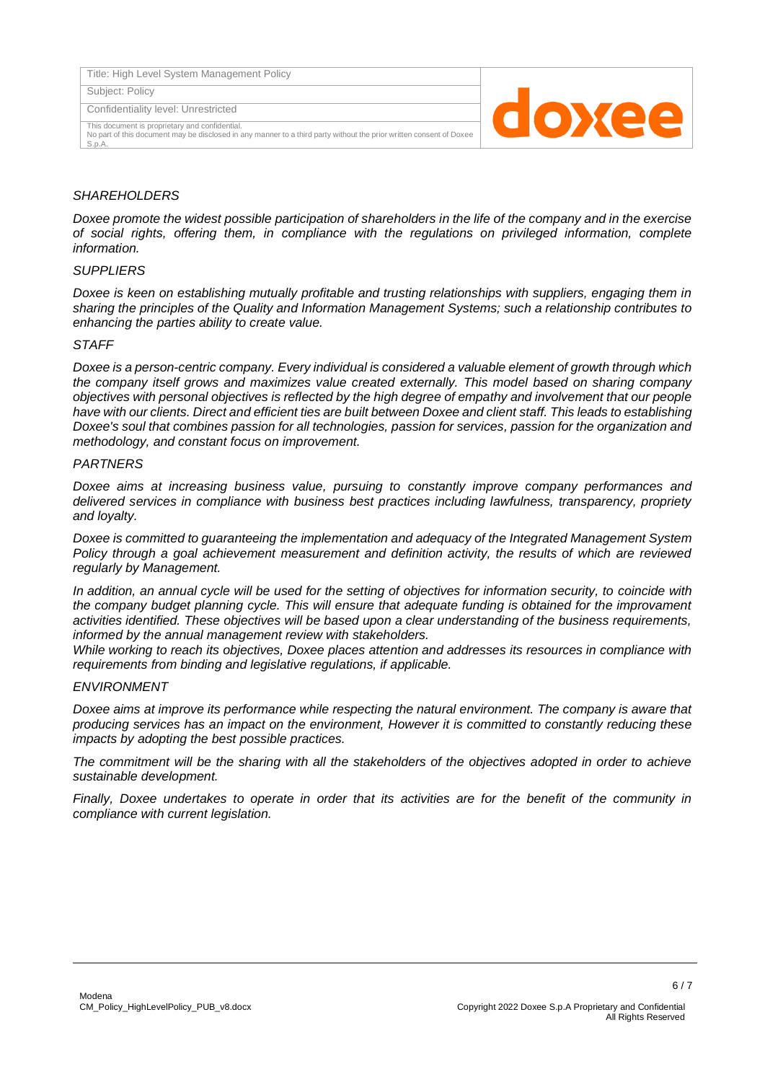| Title: High Level System Management Policy                                                                                                                                      |         |
|---------------------------------------------------------------------------------------------------------------------------------------------------------------------------------|---------|
| Subject: Policy                                                                                                                                                                 |         |
| Confidentiality level: Unrestricted                                                                                                                                             | a o Xee |
| This document is proprietary and confidential.<br>No part of this document may be disclosed in any manner to a third party without the prior written consent of Doxee<br>S.p.A. |         |

#### *SHAREHOLDERS*

*Doxee promote the widest possible participation of shareholders in the life of the company and in the exercise of social rights, offering them, in compliance with the regulations on privileged information, complete information.*

#### *SUPPLIERS*

*Doxee is keen on establishing mutually profitable and trusting relationships with suppliers, engaging them in sharing the principles of the Quality and Information Management Systems; such a relationship contributes to enhancing the parties ability to create value.*

#### *STAFF*

*Doxee is a person-centric company. Every individual is considered a valuable element of growth through which the company itself grows and maximizes value created externally. This model based on sharing company objectives with personal objectives is reflected by the high degree of empathy and involvement that our people have with our clients. Direct and efficient ties are built between Doxee and client staff. This leads to establishing Doxee's soul that combines passion for all technologies, passion for services, passion for the organization and methodology, and constant focus on improvement.*

#### *PARTNERS*

*Doxee aims at increasing business value, pursuing to constantly improve company performances and delivered services in compliance with business best practices including lawfulness, transparency, propriety and loyalty.*

*Doxee is committed to guaranteeing the implementation and adequacy of the Integrated Management System Policy through a goal achievement measurement and definition activity, the results of which are reviewed regularly by Management.*

*In addition, an annual cycle will be used for the setting of objectives for information security, to coincide with the company budget planning cycle. This will ensure that adequate funding is obtained for the improvament activities identified. These objectives will be based upon a clear understanding of the business requirements, informed by the annual management review with stakeholders.*

*While working to reach its objectives, Doxee places attention and addresses its resources in compliance with requirements from binding and legislative regulations, if applicable.*

#### *ENVIRONMENT*

*Doxee aims at improve its performance while respecting the natural environment. The company is aware that producing services has an impact on the environment, However it is committed to constantly reducing these impacts by adopting the best possible practices.* 

*The commitment will be the sharing with all the stakeholders of the objectives adopted in order to achieve sustainable development.*

*Finally, Doxee undertakes to operate in order that its activities are for the benefit of the community in compliance with current legislation.*